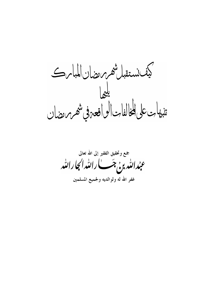كيف نستقبل شهر مرمضان المباس<br>تنبهات على المخالفات الواقعه في شهر مرمضان

جمع وتحقيق الفقير إلى الله تعالى عبدالله بن جَب الله الله الجارالله ت<br>غفر الله له ولوالديه ولجميع المسلمين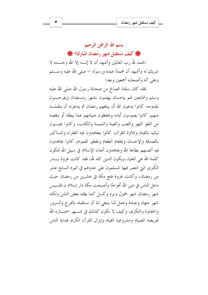### $\bullet$

## بسم الله الرحمن الرحيم

● كيف نستقبل شهر رمضان المبارك؟ ●

الحمد لله , ب العالمين وأشهد أن لا إلـــه إلا الله وحــــده لا شريك له وأشهد أن محمدًا عبده ورسوله — صلى الله عليه وســــلم وعلى آله وأصحابه أجمعين وبعد:

فقد كان سلفنا الصالح من صحابة رسول الله صلى الله عليه وسلم والتابعين لهم بإحسان يهتمون بشهر رمسضان ويفرحسون بقدومه، كانوا يدعون الله أن يبلغهم رمضان ثم يدعونه أن يتقبلــه منهم، كانوا يصومون أيامه ويحفظون صيامهم عما يبطله أو ينقصه من اللغو اللهو واللعب والغيبة والنميمة والكذب، وكانوا يحيــون لياليه بالقيام وتلاوة القرآن، كانوا يتعاهدون فيه الفقراء والمساكين بالصدقة والإحسان وإطعام الطعام وتفطير الصوام، كانوا يجاهدون فيه أنفسهم بطاعة الله ويجاهدون أعداء الإسلام في سبيل الله لتكون كلمة الله هي العليا، ويكون الدين كله لله، فقد كانت غزوة بــــدر الكبرى التي انتصر فيها المسلمون على عدوهم في اليوم السابع عشر من رمضان، وكانت غزوة فتح مكة في عشرين من رمضان حيث دخل الناس في دين الله أفواجًا وأصبحت مكة دار إسلام ن فلـــيس شهر رمضان شهر حمول ونوم وكسل كما يظنه بعض الناس ولكنه شهر جهاد وعبادة وعمل لذا ينبغي لنا أن نستقبله بالفرح والسرور والحفاوة والتكريم، وكيف لا نكون كذلك في شبهر احتـــاره الله لفريضة الصيام ومشروعية القيام وإنزال القرآن الكريم لهداية الناس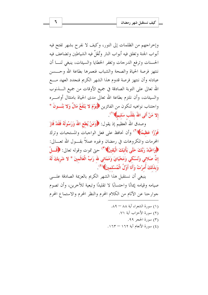وإخراجهم من الظلمات إلى النور، وكيف لا نفرح بشهر تفتح فيه أبواب الجنة وتغلق فيه أبواب النار وتُغَلَّ فيه الشياطين وتضاعف فيه الحسنات وترفع الدرجات وتغفر الخطايا والسيئات، ينبغي لنـــا أن ننتهز فرصة الحياة والصحة والشباب فنعمرها بطاعة الله وحسسن عبادته وأن ننتهز فرصة قدوم هذا الشهر الكريم فنجدد العهد مسع الله تعالى على التوبة الصادقة في جميع الأوقات من جميع الــــذنوب والسبئات، وأن نلتزم بطاعة الله تعالى مدى الحياة بامتثال أواميره واجتناب نواهيه لنكون من الفائزين ﴿يَوْمَ لا يَنْفَعُ مَالٌ وَلا بَنْسَـونَ \* إلا مَنْ أَتَى اللهَ بقَلْب سَليمٍ﴾ ( ')

وصدق الله العظيم إذ يقول: ﴿وَمَنْ يُطعِ اللَّهَ وَرَسُولَهُ فَقَدْ فَازَ فَوْزًا عَظِيمًا﴾ (<sup>٢)</sup> وأن نحافظ على فعل الواجبات والمستحبات وترك المحرمات والمكروهات في رمضان وغيره عملاً بقـــول الله تعـــالي: ﴿وَاعْبُدْ رَبَّكَ حَتَّى يَأْتِيَكَ الْيَقِينُ﴾(٣) حتى تموت وقوله تعالى: ﴿قُــْـلْ إِنَّ صَلاتِي وَنُسُكِي وَمَحْيَايَ وَمَمَاتِي لله رَبِّ الْعَالَمِينَ \* لا شَرِيكَ لَهُ وَبِذَلِكَ أُمرْتُ وَأَنَا أَوَّلُ الْمُسْلمينَ﴾(<sup>٤)</sup>.

ينبغي أن نستقبل هذا الشهر الكريم بالعزيمة الصادقة علسي صيامه وقيامه إيمانًا واحتسابًا لا تقليدًا وتبعية للآخرين، وأن تصوم جوارحنا عن الآثام من الكلام المحرم والنظر المحرم والاستماع المحرم

> (١) سورة الشعراء آية ٨٨ - ٨٩. (٢) سورة الأحزاب آية ٧١. (٣) سورة الحجر ٩٩. (٤) سورة الأنعام آية ١٦٢ – ١٦٣.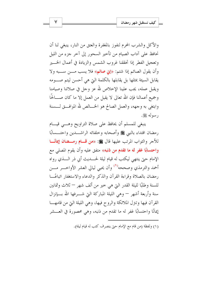والأكل والشرب المحرم لنفوز بالمغفرة والعتق من النار، ينبغي لنا أن نحافظ على آداب الصيام من تأحير السحور إلى آخر جزء من الليل وتعجيل الفطر إذا تحققنا غروب الشمس والزيادة في أعمال الخسير وأن يقول الصائم إذا شتم: «إني صائم» فلا يسب مــــن ســــبه ولا يقابل السيئة بمثلها بل يقابلها بالكلمة التي هي أحسن ليتم صـــومه ويقبل عمله، يجب علينا الإخلاص لله عز وحل في صلاتنا وصيامنا وجميع أعمالنا فإن الله تعالى لا يقبل من العمل إلا ما كان صــــالحًا وابتغى به وجهه، والعمل الصالح هو الخـــالص لله الموافـــق لـــسنة , سوله ﷺ.

ينبغي للمسلم أن يحافظ على صلاة التراويح وهـــي قيـــام رمضان اقتداء بالنبي ﷺ وأصحابه وخلفائه الراشـــدين واحتـــسابًا للأجر والثواب المرتب عليها قال ﷺ: «من قسام رمسضان إيمانًسا واحتسابًا غفر له ما تقدم من ذنبه» متفق عليه وأن يقوم المصلى مع الإمام حيٍّ ينتهي ليكتب له قيام ليلة لحــــديث أبي ذر الــــذي رواه أحمد والترمذي وصححه<sup>(١</sup>) وأن يحيى ليالي العشر الأواخـــر مـــن رمضان بالصلاة وقراءة القرآن والذكر والدعاء والاستغفار اتباعًــا للسنة وطلبًا لليلة القدر التي هي خير من ألف شهر — ثلاث وثمانين سنة وأربعة أشهر — وهي الليلة المباركة التي شــــرفها الله بــــإنزال القرآن فيها وتتزل الملائكة والروح فيها، وهي الليلة التي من قامهــا إيمانًا واحتسابًا غفر له ما تقدم من ذنبه، وهي محصورة في العـــشر

(١) ولفظة (من قام مع الإمام حيّ ينصرف كتب له قيام ليلة).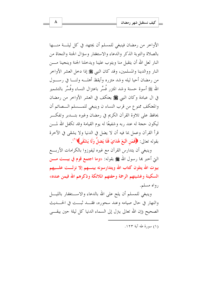الأواحر من رمضان فينبغي للمسلم أن يجتهد في كل ليلسة منسها بالصلاة والتوبة الذكر والدعاء والاستغفار وسؤال الجنة والنجاة من النار لعل الله أن يتقبل منا ويتوب علينا ويدخلنا الجنة وينجينا مــــن النار ووالدينا والمسلمين، وقد كان النبي ﷺ إذا دخل العشر الأواخر من رمضان أحيا ليله وشد مئزره وأيقظ أهلـــه ولنـــا في رســـول الله ﷺ أسوة حسنة وشد المئزر فُسِّر باعتزال النساء وفُسِّر بالتشمير في ال عبادة وكان النبي ﷺ يعتكف في العشر الأواخر من رمضان والمعتكف ممنوع من قرب النساء ن وينبغي للمسسلم الـصائم أن يحافظ على تلاوة القرآن الكريم في رمضان وغيره بتـــدبر وتفكـــر ليكون حجة له عند ربه وشفيعًا له يوم القيامة وقد تكفل الله لمــــن قرأ القرآن وعمل بما فيه أن لا يضل في الدنيا ولا يشقى في الآخرة بقوله تعالى: ﴿فَمَنِ اتَّبَعَ هُدَايَ فَلَا يَضلُّ وَلَا يَشْقَى﴾ ( ْ )

وينبغي أن يتدارس القرآن مع غيره ليفوزوا بالكرامات الأربـــع التي أخبر بما رسول الله ﷺ بقوله: «**وما اجتمع قوم في بيـــت مــــن** بيوت الله يتلون كتاب الله ويتدارسونه بينــــهم إلا نزلـــت علــــيهم السكينة وغشيتهم الرحمة وحفتهم الملائكة وذكرهم الله فيمن عنده» رواه مسلم.

وينبغي للمسلم أن يلح على الله بالدعاء والاســـتغفار بالليــــل والنهار في حال صيامه وعند سحوره، فقسد ثبست في الحسديث الصحيح (إن الله تعالى يترل إلى السماء الدنيا كل ليلة حين يبقـــي

(١) سورة طه آية ١٢٣.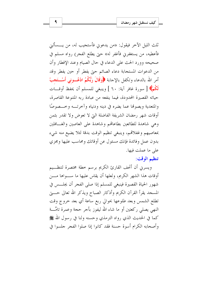ثلث الليل الآخر فيقول: «من يدعوني فأستجيب له، من يــــسألني فأعطيه، من يستغفرني فأغفر له» حتى يطلع الفجر) رواه مسلم في صحيحه وورد الحث على الدعاء في حال الصيام وعند الإفطار وأن من الدعوات المستجابة دعاء الصائم حتى يفطر أو حين يفطر وقد أمر الله بالدعاء وتكفل بالإحابة ﴿وَقَالَ رَبُّكُمُ ادْعُـــونِي أَسْـــتَجبْ لَكُمْ﴾ [ سورة غافر آية: ٦٠ ] وينبغي للمسلم أن يحفظ أوقـــات حياته القصيرة المحدودة، فيما ينفعه من عبادة , به المتنوعة القاصرة، والمتعدية ويصوفها عما يضره في دينه ودنياه وآحرتــه وحــصوصًا أوقات شهر رمضان الشريفة الفاضلة التي لا تعوض ولا تقدر بثمن وهي شاهدة للطائعين بطاعاقمم وشاهدة على العاصين والغسافلين بمعاصيهم وغفلاقمه، وينبغي تنظيم الوقت بدقة لئلا يضيع منه شيء بدون عمل وفائدة فإنك مسئول عن أوقاتك ومحاسب عليها ومجزى على ما عملت فيها.

## تنظيم الوقت:

ويسرين أن أتحف القارئ الكريم برسم خطة مختصرة لتنظــيم أوقات هذا الشهر الكريم، ولعلها أن يقاس عليها ما ســواها مـــن شهور الحياة القصيرة فينبغي للمسلم إذا صلى الفجر أن يجلسس في المسجد يقرأ القرآن الكريم وأذكار الصباح ويذكر الله تعالى حــــتي تطلع الشمس وبعد طلوعها بحوالي ربع ساعة أي بعد خروج وقت النهي يصلى ركعتين أو ما شاء الله ليفوز بأحر حجة وعمرة تامَّـــة كما في الحديث الذي رواه الترمذي وحسنه ولنا في رسول الله ﷺ وأصحابه الكرام أسوة حسنة فقد كانوا إذا صلوا الفجر جلسوا في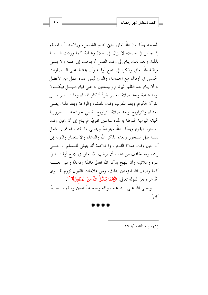المسحد يذكرون الله تعالى حتى تطلع الشمس، ويلاحظ أن المسلم إذا حلس في مصلاه لا يزال في صلاة وعبادة كما وردت الـــسنة بذلك وبعد ذلك ينام إلى وقت العمل ثم يذهب إلى عمله ولا ينسى مراقبة الله تعالى وذكره في جميع أوقاته وأن يحافظ على الـــصلوات الخمس في أوقاهًا مع الجماعة، والذي ليس عنده عملٍ من الأفضل له أن ينام بعد الظهر ليرتاح وليستعين به على قيام الليــــل فيكــــون نومه عبادة وبعد صلاة العصر يقرأ أذكار المساء وما تيسسر مسن القرآن الكريم وبعد المغرب وقت للعشاء والراحة وبعد ذلك يصلى العشاء والتراويح وبعد صلاة التراويح يقضي حوائجه الــضرورية لحياته اليومية المنوطة به لمدة ساعتين تقريبًا ثم ينام إلى أن يحين وقت السحور فيقوم ويذكر الله ويتوضأ ويصلى ما كتب له ثم يــــشغل نفسه قبل السحور وبعده بذكر الله والدعاء والاستغفار والتوبة إلى أن يحين وقت صلاة الفجر، والخلاصة أنه ينبغي للمسلم الراجـــي رحمة ربه الخائف من عذابه أن يراقب الله تعالى في جميع أوقاتــــه في سره وعلانيته وأن يلهج بذكر الله تعالى قائمًا وقاعدًا وعلى حنبـــه كما وصف الله المؤمنين بذلك، ومن علامات القبول لزوم تقسوى الله عز وجل لقوله تعالى: ﴿إِنَّمَا يَتَقَبَّلُ اللَّهُ مِنَ الْمُتَّقِينَ﴾ (``.

وصلى الله على نبينا محمد وآله وصحبه أجمعين وسلم تـــسليمًا كثيرًا.

(١) سورة المائدة آبة ٢٧.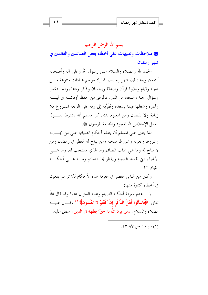# بسم الله الرحمن الرحيم

@ ملاحظات وتنبيهات على أخطاء بعض الصائمين والقائمين في شهر رمضان !

الحمد لله والصلاة والسلام على رسول الله وعلى آله وأصحابه أجمعين وبعد: فإن شهر رمضان المبارك موسم عبادات متنوعة مــــن صيام وقيام وتلاوة قرآن وصدقة وإحسان وذكر ودعاء واستغفار وسؤال الجنة والنجاة من النار . فالموفق من حفظ أوقاتــه في ليلــه وهٔاره وشغلها فیما یسعده ویُقَرِّبه إلی ربه علی الوجه المشروع بلا زيادة ولا نقصان ومن المعلوم لدى كل مسلم أنه يشترط لقبسول العمل الإخلاص لله المعبود والمتابعة للرسول ﷺ.

لذا يتعين على المسلم أن يتعلم أحكام الصيام، على من يجـــب، وشروط وجوبه وشروط صحته ومن يباح له الفطر في رمضان ومن لا يباح له وما هي آداب الصائم وما الذي يستحب له. وما هـــي الأشياء التي تفسد الصيام ويفطر بما الصائم ومسا هسبي أحكسام القيام !!!

وكثيرٍ من الناس مقصرٍ في معرفة هذه الأحكام لذا تراهم يقعون في أخطاء كثيرة منها:

١ – عدم معرفة أحكام الصيام وعدم السؤال عنها وقد قال الله تعالى: ﴿فَاسْأَلُوا أَهْلَ الذِّكْرِ إِنْ كُنْتُمْ لا تَعْلَمُونَ﴾ ('' وقسال عليسه الصلاة والسلام: «**من يرد الله به خيرًا يفقهه في الدين**» متفق عليه.

(١) سورة النحل الآبة ٤٣.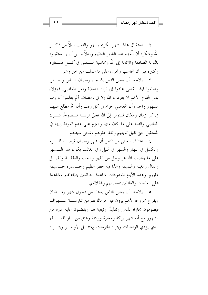٢ – استقبال هذا الشهر الكريم باللهو واللعب بدلاً من ذكــر الله وشكره أن بلَّغهم هذا الشهر العظيم وبدلاً مــــن أن يــــستقبلوه بالتوبة الصادقة والإنابة إلى الله ومحاسبة الـــنفس في كــــل صــــغيرة وكبيرة قبل أن تحاسب وتجزي على ما عملت من حير وشر .

٣ – يلاحظ أن بعض الناس إذا جاء رمضان تـــابوا وصــــلوا وصاموا فإذا انقضى عادوا إلى ترك الصلاة وفعل المعاصي. فهؤلاء بئس القوم. لأَهْم لا يعرفون الله إلا في رمضان. ألم يعلموا أن رب الشهور واحد وأن المعاصي حرام في كل وقت وأن الله مطلع عليهم في كل زمان ومكان فليتوبوا إلى الله تعالى توبسة نـــصوحًا بتـــرك المعاصي والندم على ما كان منها والعزم على عدم العودة إليها في المستقبل حبيّ تقبل توبتهم وتغفر ذنوهم وتمحى سيئاقمه.

٤ – اعتقاد البعض من الناس أن شهر رمضان فرصـــة للنـــوم والكسل في النهار والسهر في الليل وفي الغالب يكون هذا الـــسهر على ما يغضب الله عز وحل من اللهو واللعب والغفلـــة والقيــــل والقال والغيبة والنميمة وهذا فيه خطر عظيم وخـــسارة حـــسيمة عليهم. وهذه الأيام المعدودات شاهدة للطائعين بطاعاتهم وشاهدة على العاصين والغافلين بمعاصيهم وغفلاقم.

ه – يلاحظ أن بعض الناس يستاء من دخول شهر رمـــضان ويفرح بخروجه لأفهم يرون فيه حرمانًا لهم من ممارســـة شــــهواقمم فيصومون مجاراة للناس وتقليدًا وتبعية لهم ويفضلون عليه غيره من الشهور مع أنه شهر بركة ومغفرة ورحمة وعتق من النار للمـــسلم الذي يؤدى الواجبات ويترك المحرمات ويمتثسل الأوامسر ويتسرك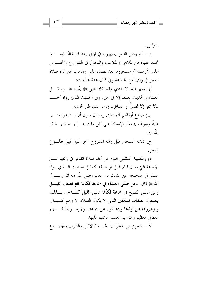$\gamma$ 

النو آهي.

٦ – أن بعض الناس يسهرون في ليالي رمضان غالبًا فيمـــا لا تحمد عقباه من الملاهي والملاعب والتجول في الشوارع والجلسوس على الأرصفة ثم يتسحرون بعد نصف الليل وينامون عن أداء صلاة الفجر في وقتها مع الجماعة وفي ذلك عدة مخالفات:

أ) السهر فيما لا يجدي وقد كان النبي ﷺ يكره النـــوم قبــــل العشاء والحديث بعدها إلا في خيرٍ. وفي الحديث الذي رواه أحمسد «لا سمر إلا لمصلِّ أو مسافر» ورمز السيوطي لحسنه.

ب) ضياع أوقالهم الثمينة في رمضان بدون أن يستفيدوا منــــها شيئًا وسوف يتحسَّر الإنسان على كلِّ وقت يمـــرَّ بــــه لا يــــذكر الله فيه.

ج) تقديم السحور قبل وقته المشروع آخر الليل قبيل طلوع الفجر .

د) والمصيبة العظمى النوم عن أداء صلاة الفجر في وقتها مـــع الجماعة التي تعدل قيام الليل أو نصفه كما في الحديث الــــذي رواه مسلم في صحيحه عن عثمان بن عفان رضي الله عنه أن رســـول الله ﷺ قال: «من صلى العشاء في جماعة فكأنما قام نصف الليــــل ومن صلى الصبح في جماعة فكأنما صلى الليل كلسه». وبسذلك يتصفون بصفات المنافقين الذين لا يأتون الصلاة إلا وهم كـــسالي ويؤ حروها عن أوقاها ويتخلفون عن جماعتها ويحرمــون أنفــسهم الفضل العظيم والثواب الجسم المرتب عليها.

٧ – التحرز من المفطرات الحسية كالأكل والشرب والجمساع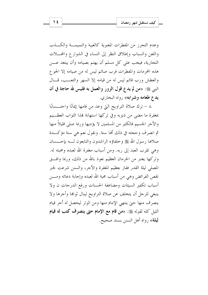وعدم التحرز من المفطرات المعنوية كالغيبة والنميمسة والكسذب واللعن والسباب وإطلاق النظر إلى النساء في الشوارع والمحسلات التجارية، فيجب على كل مسلم أن يهتم بصيامه وأن يبتعد عــــن هذه المحرمات والمفطرات فرب صائم ليس له من صيامه إلا الجوع والعطش ورب قائم ليس له من قيامه إلا السهر والتعــب، قــال النبي ﷺ: «من لم يدع قول الزور والعمل به فليس لله حاجة في أن يدع طعامه وشرابه» رواه البخاري.

٨ – ترك صلاة التراويح التي وعد من قامها إيمانًا واحتـــسابًا بمغفرة ما مضى من ذنوبه وفي تركها استهانة بمذا الثواب العظيم والأجر الجسيم فالكثير من المسلمين لا يؤديها وربما صلى قليلاً منها ثم انصرف وحجته في ذلك ألها سنة. ونقول نعم هي سنة مؤكـــدة صلاها رسول الله ﷺ وخلفاؤه الراشدون والتابعون لـــه بإحــــسان وهي تقرب العبد إلى ربه. ومن أسباب مغفرة الله لعبده ومحبته له. وتركها يعتبر من الحرمان العظيم نعوذ بالله من ذلك، وربما وافتَّى المصلى ليلة القدر ففاز بعظيم المغفرة والأحر، والسنن شرعت لجبر نقص الفرائض وهي من أسباب محبة الله لعبده وإجابة دعائه ومـــن أسباب تكفير السيئات ومضاعفة الحسنات ورفع الدرجات ن ولا ينبغي للرجل أن يتخلف عن صلاة التراويح لينال ثواها وأجرها ولا ينصرف منها حتى ينتهي الإمام منها ومن الوتر ليحصل له أجر قيام الليل كله لقوله ﷺ: «من قام مع الإمام حتى ينصرف كتب له قيام ليلة» , واه أهل السنن بسند صحيح.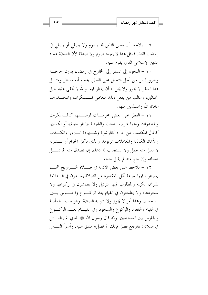٩ – يلاحظ أن بعض الناس قد يصوم ولا يصلى أو يصلى في رمضان فقط. فمثل هذا لا يفيده صوم ولا صدقة لأن الصلاة عماد الدين الإسلامي الذي يقوم عليه.

١٠ – اللجوء إلى السفر إلى الخارج في رمضان بدون حاجـــة وضرورة بل من أجل التحيل على الفطر. بحجة أنه مسافر ومثـــل هذا السفر لا يحوز ولا يحل له أن يفطر فيه، والله لا تخفي عليه حيل المحتالين، وغالب من يفعل ذلك متعاطى المسسكرات والمخسدرات عافانا الله والمسلمين منها.

١١ - الفطر على بعض المحرمـــات لوصـــفها كالمـــسكرات والمخدرات ومنها شرب الدحان والشيشة «النار جيلة» أو لكسبها كالمال المكتسب من حرام كالرشوة وشبهادة السزور والكسذب والأيمان الكاذبة والمعاملات الربوية، والذي يأكل الحرام أو يسشربه لا يقبل منه عمل ولا يستجاب له دعاء. إن تصدق منه لم تقبــــل صدقته وإن حج منه لم يقبل حجه.

١٢ – يلاحظ على بعض الأئمة في صــــلاة التــــراويح أُنْهـــــم يسرعون فيها سرعة تخل بالمقصود من الصلاة يسرعون في الــتلاوة للقرآن الكريم والمطلوب فيها الترتيل ولا يطمئنون في ركوعها ولا سجودها، ولا يطمئنون في القيام بعد الركسوع والجلسوس بسين السجدتين وهذا أمر لا يجوز ولا تتم به الصلاة. والواحب الطمأنينة في القيام والقعود والركوع والسجود وفي القيـــام بعـــد الركـــوع والجلوس بين السجدتين. وقد قال رسول الله ﷺ للذي لم يطمــــئن في صلاته: «ارجع فصل فإنك لم تصل» متفق عليه. وأسوأ النـــاس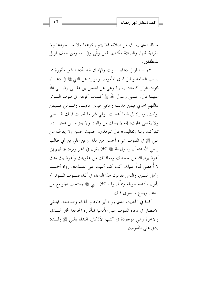سرقة الذي يسرق من صلاته فلا يتم ركوعها ولا ســجودها ولا القراءة فيها. والصلاة مكيال، فمن وفَّى وفي له، ومن طفف فويل للمطففين.

١٣ – تطويل دعاء القنوت والإتيان فيه بأدعية غير مأثورة مما يسبب السآمة والملل لدى المأمومين والوارد عن النبي ﷺ في دعـــاء قنوت الوتر كلمات يسيرة وهي عن الحسن بن علـــي رضــــي الله عنهما قال: علمني رسول الله ﷺ كلمات أقولهن في قنوت الـــوتر «اللهم اهدني فيمن هديت وعافيي فيمن عافيت. وتسوليي فسيمن توليت. وبارك لي فيما أعطيت. وفيٰ شر ما قضيت فإنك تقــضي ولا يقضي عليك، إنه لا يذلك من واليت ولا يعز مـــن عاديـــت. تباركت , بنا وتعاليت» قال الترمذي: حديث حسن ولا يعرف عن النبي ﷺ في القنوت شيء أحسن من هذا. وعن على بن أبي طالب رضي الله عنه أن رسول الله ﷺ كان يقول في آخر وتره: «اللهم إني أعوذ برضاك من سخطك وبمعافاتك من عقوبتك وأعوذ بك منك لا أحصى ثناءً عليك، أنت كما أثنيت على نفسك». رواه أحمــــد وأهل السنن. والناس يقولون هذا الدعاء في أثناء قنسوت السوتر ثم يأتون بأدعية طويلة ومملَّة. وقد كان النبي ﷺ يستحب الجوامع من الدعاء ويدع ما سوى ذلك.

كما في الحديث الذي رواه أبو داود والحاكم وصححه. فينبغي الاقتصار في دعاء القنوت على الأدعية المأثورة الجامعة لخير السدنيا والآخرة وهي موجودة في كتب الأذكار. اقتداء بالنبي ﷺ ولِّــئلا يشق على المأمومين.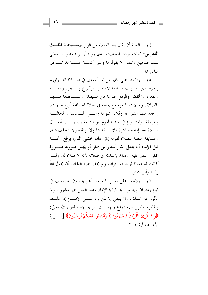١٤ - السنة أن يقال بعد السلام من الوتر «**ســبحان الملـــك** القدوس» ثلاث مرات للحديث الذي رواه أبسو داود والنسسائي بسند صحيح والناس لا يقولوفما وعلى أئمسة المسساجد تسذكير الناس بها.

١٥ – يلاحظ على كثير من المـــأمومين في صــــلاة التــــراويح وغيرها من الصلوات مسابقة الإمام في الركوع والسجود والقيــام والقعود والخفض والرفع حداعًا من الشيطان واســـتخفافًا منــــهم بالصلاة. وحالات المأموم مع إمامه في صلاة الجماعة أربع حالات، واحدة منها مشروعة وثلاثة ممنوعة وهسى المسابقة والمخالفة والموافقة. والمشروع في حق المأموم هو المتابعة بأن يسأتي بأفعـــال الصلاة بعد إمامه مباشرة فلا يسبقه هما ولا يوافقه ولا يتخلف عنه، والمسابقة مبطلة للصلاة لقوله ﷺ: «أما يخشى ا**لذي يرفع** رأســــه قبل الإمام أن يجعل الله رأسه رأس حمار أو يجعل صورته صـــورة همار» متفق عليه. وذلك لإساءته في صلاته لأنه لا صلاة له. ولـــو كانت له صلاة لرجا له الثواب و لم يخف عليه العقاب أن يحول الله , أسه , أس حمار .

١٦ – يلاحظ على بعض المأمومين أفمم يحملون المصاحف في قيام رمضان ويتابعون ها قراءة الإمام وهذا العمل غير مشروع ولا مأثور عن السلف ولا ينبغي إلا لمن يرد علـــي الإمــــام إذا غلـــط والمأموم مأمور بالاستماع والإنصات لقراءة الإمام لقول الله تعالى: ﴿وَإِذَا قُرِئَ الْقُرْآنُ فَاسْتَمِعُوا لَهُ وَأَنْصِتُوا لَعَلَّكُمْ تُرْحَمُونَ﴾ [ســورة الأعراف آية ٢٠٤ ].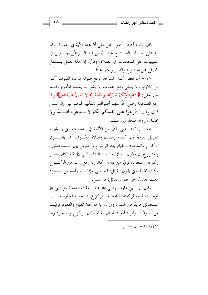قال الإمام أحمد: أجمع الناس على أن هذه الآية في الصلاة. وقد نبه على هذه المسالة الشيخ عبد الله بن عبد الــــرحمٰن الجـــــــبرين في التنبيهات على المخالفات في الصلاة، وقال: إن هذا العمل يسشغل المصلى عن الخشوع والتدبر ويعتبر عبثًا.

١٧ – أن بعض أئمة المساجد يرفع صوته بدعاء القنوت أكثر من اللازم، ولا ينبغي رفع الصوت إلا بقدر ما يسمع المأموم وقـــد قال تعالى: ﴿ادْعُوا رَبَّكُمْ تَضَرُّعًا وَخُفْيَةً إِنَّهُ لا يُحبُّ الْمُعْتَدِينَ﴾ ولما رفع الصحابة رضي الله عنهم أصواقمم بالتكبير فماهم النبي ﷺ عــــن ذلك وقال: «أربعوا على أنفسكم إنكم لا تـــدعون أصـــمًا ولا غائبًا». رواه البخاري ومسلم.

١٨ - يلاحظ على كثير من الأئمة في الصلوات التي يــــشر ع تطويل القراءة فيها كقيام رمضان وصلاة الكسوف أفمم يخفف ون الركوع والسجود والقيام بعد الركوع والجلوس بين الـــسجدتين. والمشروع أن تكون الصلاة متناسبة اقتداء بالنبي ﷺ فقد كان مقدار ركوعه وسجوده قريبًا من قيامه وكان إذا رفع رأسه من الركسوع مكث قائمًا حتى يقول القائل: قد نسى وإذا رفع رأسه من السجود مكث جالسًا حتى يقول القائل: قد نسى.

وقال البراء بن عازب رضي الله عنه: رمقت الصلاة مع النبي ﷺ فوجدت قيامه فركعته فقيامه بعد الركوع. فسجدته فجلوسه بسين السجدتين قريبًا من السوا. وفي رواية ما حلا القيام والقعود قريبًــا من السوا<sup>(0</sup>). والمراد أنه إذا أطال القيام أطال الركوع والسجود وما

(۱) رواه البخاري ومسلم.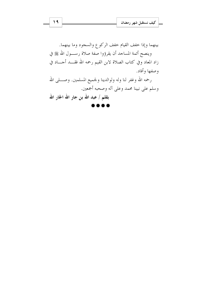بينهما وإذا خفف القيام خفف الركوع والسجود وما بينهما. وينصح أئمة المساحد أن يقرؤوا صفة صلاة رســـول الله ﷺ في زاد المعاد وفي كتاب الصلاة لابن القيم رحمه الله فقـــد أحــــاد في وصفها وأفاد.

رحمه الله وغفر لنا وله ولوالدينا ولجميع المسلمين. وصــــلى الله وسلم على نبينا محمد وعلى آله وصحبه أجمعين.

بقلم / عبد الله بن جار الله الجار الله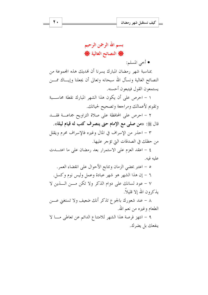• أخي المسلم:

بمناسبة شهر رمضان المبارك يسرنا أن نهديك هذه المحموعة من النصائح الغالية ونسأل الله سبحانه وتعالى أن يجعلنا وإيساك ممسن يستمعون القول فيتبعون أحسنه.

١ – احرص على أن يكون هذا الشهر المبارك نقطة محاسبية وتقويم لأعمالك ومراجعة وتصحيح لحياتك.

٢ - احرص على المحافظة على صلاة التراويح جماعـــة فقـــد قال ﷺ: «من صلى مع الإمام حتى ينصرف كتب له قيام ليلة».

٣ – احذر من الإسراف في المال وغيره فالإسراف محرم ويقلل من حظك في الصدقات التي تؤجر عليها.

٤ - اعقد العزم على الاستمرار بعد رمضان على ما اعتـــدت عليه فيه.

٥ – اعتبر بمضى الزمان وتتابع الأحوال على انقضاء العمر . ٦ – إن هذا الشهر هو شهر عبادة وعمل وليس نوم وكسل. ٧ - عود لسانك على دوام الذكر ولا تكن مـــن الــــذين لا يذكرون الله إلا قليلاً.

٨ – عند شعورك بالجوع تذكر أنك ضعيف ولا تستغني عــــن الطعام وغيره من نعم الله.

٩ – انتهز فرصة هذا الشهر للامتناع الدائم عن تعاطي مـــا لا ينفعك بل يضرك.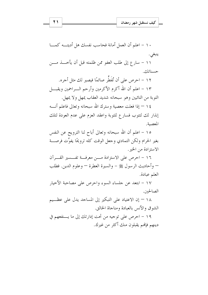١٠ - اعلم أن العمل أمانة فحاسب نفسك هل أديتـــه كمــــا ينبغي. ١١ – سارع إلى طلب العفو ممن ظلمته قبل أن يأخــــذ مــــن حسناتك.

١٢ – احرص على أن تُفَطَّر صائمًا فيصير لك مثل أجره. ١٣ – اعلم أن الله أكرم الأكرمين وأرحم الـــراحمين ويقبــــل التوبة من التائبين وهو سبحانه شديد العقاب يمهل ولا يمهل.

١٤ – إذا فعلت معصية وسترك الله سبحانه وتعالى فاعلم أنــــه إنذار لك لتتوب فسارع للتوبة واعقد العزم على عدم العودة لتلك المعصبة.

١٥ – اعلم أن الله سبحانه وتعالى أباح لنا الترويح عن النفس بغير الحرام ولكن التمادي وجعل الوقت كله ترويحًا يفوِّت فرصـــة الاستزادة من الخير .

١٦ - احرص على الاستزادة مسن معرفة تفسسير القسرآن — وأحاديث الرسول ﷺ – والسيرة العطرة — وعلوم الدين. فطلب العلم عبادة.

١٧ – ابتعد عن جلساء السوء واحرص على مصاحبة الأخيار الصالحين.

١٨ – إن الاعتياد على التبكير إلى المساحد يدل على عظــيم الشوق والأنس بالعبادة ومناجاة الخالق.

١٩ – احرص على توجيه من تحت إدارتك إلى ما يستفعهم في دينهم فإنهم يقبلون منك أكثر من غيرك.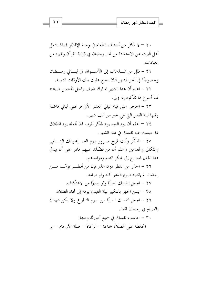٢٠ – لا تكثر من أصناف الطعام في وجبة الإفطار فهذا يشغل أهل البيت عن الاستفادة من لهار رمضان في قراءة القرآن وغيره من العبادات.

٢١ - قلل من الــــذهاب إلى الأســــواق في ليــــالى رمــــضان وخصوصًا في آخر الشهر لئلا تضيع عليك تلك الأوقات الثمينة.

٢٢ – اعلم أن هذا الشهر المبارك ضيف راحل فأحسن ضيافته فعا أسرع ما تذكره إذا ولي.

٢٣ – احرص على قيام ليالي العشر الأواخر فهي ليالي فاضلة وفيها ليلة القدر التي هي خير من ألف شهر.

٢٤ — اعلم أن يوم العيد يوم شكر للرب فلا تجعله يوم انطلاق مما حبست عنه نفسك في هذا الشهر .

٢٥ – تَذَكَّر وأنت فرح مسرور بيوم العيد إخوانك اليتـــامي والثكالي والمعدمين واعلم أن من فضّلك عليهم قادر على أن يبدل هذا الحال فسارع إلى شكر النعم ومواساتهم.

٢٦ – احذر من الفطر دون عذر فإن من أفطـــر يومًـــا مــــن رمضان لم يقضه صوم الدهر كله ولو صامه. ٢٧ – اجعل لنفسك نصيبًا ولو يسيرًا من الاعتكاف.

٢٨ — يسن الجهر بالتكبير ليلة العيد ويومه إلى أداء الصلاة. ٢٩ – اجعل لنفسك نصيبًا من صوم التطوع ولا يكن عهدك

بالصيام في , مضان فقط. ٣٠ – حاسب نفسك في جميع أمورك ومنها: المحافظة على الصلاة جماعة — الزكاة — صلة الأرحام — بر